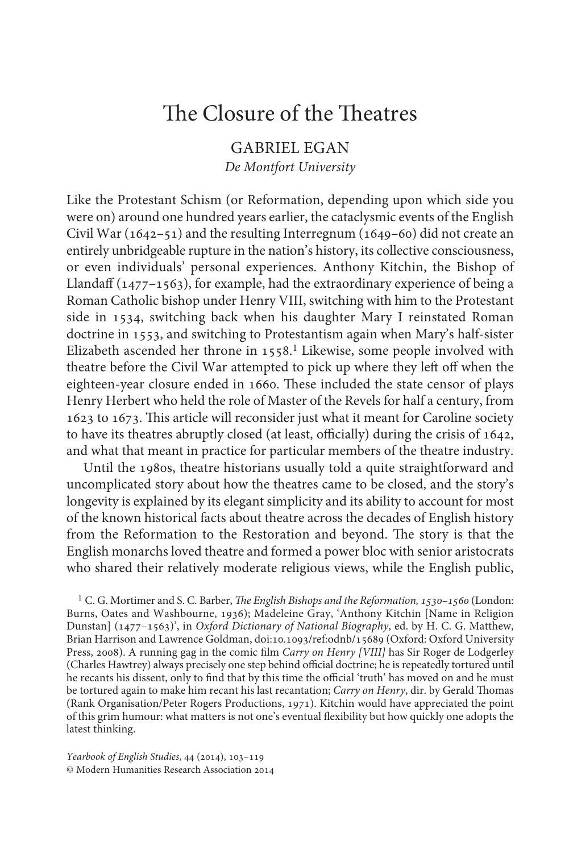## GABRIEL EGAN *De Montfort University*

Like the Protestant Schism (or Reformation, depending upon which side you were on) around one hundred years earlier, the cataclysmic events of the English Civil War (1642–51) and the resulting Interregnum (1649–60) did not create an entirely unbridgeable rupture in the nation's history, its collective consciousness, or even individuals' personal experiences. Anthony Kitchin, the Bishop of Llandaff (1477–1563), for example, had the extraordinary experience of being a Roman Catholic bishop under Henry VIII, switching with him to the Protestant side in 1534, switching back when his daughter Mary I reinstated Roman doctrine in 1553, and switching to Protestantism again when Mary's half-sister Elizabeth ascended her throne in 1558.<sup>1</sup> Likewise, some people involved with theatre before the Civil War attempted to pick up where they left off when the eighteen-year closure ended in 1660. These included the state censor of plays Henry Herbert who held the role of Master of the Revels for half a century, from 1623 to 1673. This article will reconsider just what it meant for Caroline society to have its theatres abruptly closed (at least, officially) during the crisis of 1642, and what that meant in practice for particular members of the theatre industry.

Until the 1980s, theatre historians usually told a quite straightforward and uncomplicated story about how the theatres came to be closed, and the story's longevity is explained by its elegant simplicity and its ability to account for most of the known historical facts about theatre across the decades of English history from the Reformation to the Restoration and beyond. The story is that the English monarchs loved theatre and formed a power bloc with senior aristocrats who shared their relatively moderate religious views, while the English public,

<sup>1</sup> C. G. Mortimer and S. C. Barber, *The English Bishops and the Reformation*, 1530–1560 (London: Burns, Oates and Washbourne, 1936); Madeleine Gray, 'Anthony Kitchin [Name in Religion Dunstan] (1477–1563)', in *Oxford Dictionary of National Biography*, ed. by H. C. G. Matthew, Brian Harrison and Lawrence Goldman, doi:10.1093/ref:odnb/15689 (Oxford: Oxford University Press, 2008). A running gag in the comic film *Carry on Henry [VIII]* has Sir Roger de Lodgerley (Charles Hawtrey) always precisely one step behind official doctrine; he is repeatedly tortured until he recants his dissent, only to find that by this time the official 'truth' has moved on and he must be tortured again to make him recant his last recantation; *Carry on Henry*, dir. by Gerald Thomas (Rank Organisation/Peter Rogers Productions, 1971). Kitchin would have appreciated the point of this grim humour: what matters is not one's eventual flexibility but how quickly one adopts the latest thinking.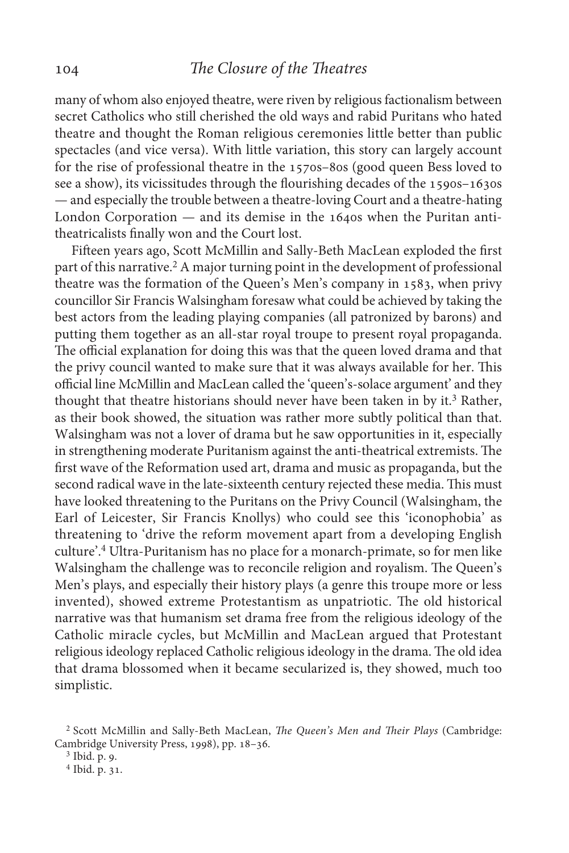many of whom also enjoyed theatre, were riven by religious factionalism between secret Catholics who still cherished the old ways and rabid Puritans who hated theatre and thought the Roman religious ceremonies little better than public spectacles (and vice versa). With little variation, this story can largely account for the rise of professional theatre in the 1570s–80s (good queen Bess loved to see a show), its vicissitudes through the flourishing decades of the 1590s–1630s — and especially the trouble between a theatre-loving Court and a theatre-hating London Corporation — and its demise in the 1640s when the Puritan antitheatricalists finally won and the Court lost.

Fifteen years ago, Scott McMillin and Sally-Beth MacLean exploded the first part of this narrative.<sup>2</sup> A major turning point in the development of professional theatre was the formation of the Queen's Men's company in 1583, when privy councillor Sir Francis Walsingham foresaw what could be achieved by taking the best actors from the leading playing companies (all patronized by barons) and putting them together as an all-star royal troupe to present royal propaganda. The official explanation for doing this was that the queen loved drama and that the privy council wanted to make sure that it was always available for her. This official line McMillin and MacLean called the 'queen's-solace argument' and they thought that theatre historians should never have been taken in by it.<sup>3</sup> Rather, as their book showed, the situation was rather more subtly political than that. Walsingham was not a lover of drama but he saw opportunities in it, especially in strengthening moderate Puritanism against the anti-theatrical extremists. The first wave of the Reformation used art, drama and music as propaganda, but the second radical wave in the late-sixteenth century rejected these media. This must have looked threatening to the Puritans on the Privy Council (Walsingham, the Earl of Leicester, Sir Francis Knollys) who could see this 'iconophobia' as threatening to 'drive the reform movement apart from a developing English culture'.4 Ultra-Puritanism has no place for a monarch-primate, so for men like Walsingham the challenge was to reconcile religion and royalism. The Queen's Men's plays, and especially their history plays (a genre this troupe more or less invented), showed extreme Protestantism as unpatriotic. The old historical narrative was that humanism set drama free from the religious ideology of the Catholic miracle cycles, but McMillin and MacLean argued that Protestant religious ideology replaced Catholic religious ideology in the drama. The old idea that drama blossomed when it became secularized is, they showed, much too simplistic.

<sup>&</sup>lt;sup>2</sup> Scott McMillin and Sally-Beth MacLean, *The Queen's Men and Their Plays* (Cambridge: Cambridge University Press, 1998), pp. 18–36.

<sup>&</sup>lt;sup>3</sup> Ibid. p. 9.

<sup>&</sup>lt;sup>4</sup> Ibid. p. 31.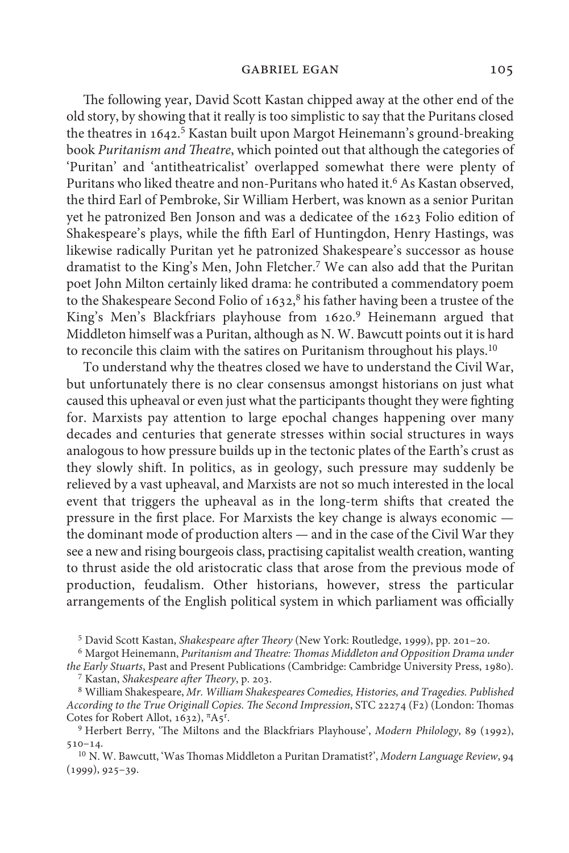The following year, David Scott Kastan chipped away at the other end of the old story, by showing that it really is too simplistic to say that the Puritans closed the theatres in 1642.5 Kastan built upon Margot Heinemann's ground-breaking book *Puritanism and Theatre*, which pointed out that although the categories of 'Puritan' and 'antitheatricalist' overlapped somewhat there were plenty of Puritans who liked theatre and non-Puritans who hated it.6 As Kastan observed, the third Earl of Pembroke, Sir William Herbert, was known as a senior Puritan yet he patronized Ben Jonson and was a dedicatee of the 1623 Folio edition of Shakespeare's plays, while the fifth Earl of Huntingdon, Henry Hastings, was likewise radically Puritan yet he patronized Shakespeare's successor as house dramatist to the King's Men, John Fletcher.7 We can also add that the Puritan poet John Milton certainly liked drama: he contributed a commendatory poem to the Shakespeare Second Folio of 1632,<sup>8</sup> his father having been a trustee of the King's Men's Blackfriars playhouse from 1620.<sup>9</sup> Heinemann argued that Middleton himself was a Puritan, although as N. W. Bawcutt points out it is hard to reconcile this claim with the satires on Puritanism throughout his plays.10

To understand why the theatres closed we have to understand the Civil War, but unfortunately there is no clear consensus amongst historians on just what caused this upheaval or even just what the participants thought they were fighting for. Marxists pay attention to large epochal changes happening over many decades and centuries that generate stresses within social structures in ways analogous to how pressure builds up in the tectonic plates of the Earth's crust as they slowly shift. In politics, as in geology, such pressure may suddenly be relieved by a vast upheaval, and Marxists are not so much interested in the local event that triggers the upheaval as in the long-term shifts that created the pressure in the first place. For Marxists the key change is always economic the dominant mode of production alters — and in the case of the Civil War they see a new and rising bourgeois class, practising capitalist wealth creation, wanting to thrust aside the old aristocratic class that arose from the previous mode of production, feudalism. Other historians, however, stress the particular arrangements of the English political system in which parliament was officially

<sup>&</sup>lt;sup>5</sup> David Scott Kastan, Shakespeare after Theory (New York: Routledge, 1999), pp. 201-20.

Margot Heinemann, *Puritanism and Theatre: Thomas Middleton and Opposition Drama under* <sup>6</sup> *the Early Stuarts*, Past and Present Publications (Cambridge: Cambridge University Press, 1980).

Kastan, *Shakespeare after Theory*, p. 203. <sup>7</sup>

William Shakespeare, *Mr. William Shakespeares Comedies, Histories, and Tragedies. Published* <sup>8</sup> *According to the True Originall Copies. The Second Impression*, STC 22274 (F2) (London: Thomas Cotes for Robert Allot, 1632), <sup>π</sup>A5<sup>r</sup>.

<sup>&</sup>lt;sup>9</sup> Herbert Berry, 'The Miltons and the Blackfriars Playhouse', *Modern Philology*, 89 (1992), 510–14.

<sup>&</sup>lt;sup>10</sup> N. W. Bawcutt, 'Was Thomas Middleton a Puritan Dramatist?', Modern Language Review, 94 (1999), 925–39.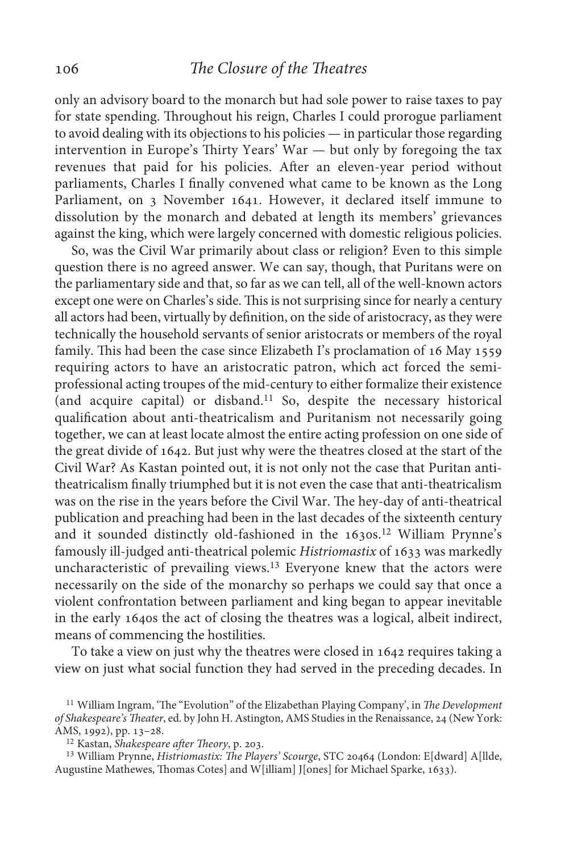only an advisory board to the monarch but had sole power to raise taxes to pay for state spending. Throughout his reign, Charles I could prorogue parliament to avoid dealing with its objections to his policies — in particular those regarding intervention in Europe's Thirty Years' War — but only by foregoing the tax revenues that paid for his policies. After an eleven-year period without parliaments, Charles I finally convened what came to be known as the Long Parliament, on 3 November 1641. However, it declared itself immune to dissolution by the monarch and debated at length its members' grievances against the king, which were largely concerned with domestic religious policies.

So, was the Civil War primarily about class or religion? Even to this simple question there is no agreed answer. We can say, though, that Puritans were on the parliamentary side and that, so far as we can tell, all of the well-known actors except one were on Charles's side. This is not surprising since for nearly a century all actors had been, virtually by definition, on the side of aristocracy, as they were technically the household servants of senior aristocrats or members of the royal family. This had been the case since Elizabeth I's proclamation of 16 May 1559 requiring actors to have an aristocratic patron, which act forced the semiprofessional acting troupes of the mid-century to either formalize their existence (and acquire capital) or disband.11 So, despite the necessary historical qualification about anti-theatricalism and Puritanism not necessarily going together, we can at least locate almost the entire acting profession on one side of the great divide of 1642. But just why were the theatres closed at the start of the Civil War? As Kastan pointed out, it is not only not the case that Puritan antitheatricalism finally triumphed but it is not even the case that anti-theatricalism was on the rise in the years before the Civil War. The hey-day of anti-theatrical publication and preaching had been in the last decades of the sixteenth century and it sounded distinctly old-fashioned in the 1630s.12 William Prynne's famously ill-judged anti-theatrical polemic *Histriomastix* of 1633 was markedly uncharacteristic of prevailing views.<sup>13</sup> Everyone knew that the actors were necessarily on the side of the monarchy so perhaps we could say that once a violent confrontation between parliament and king began to appear inevitable in the early 1640s the act of closing the theatres was a logical, albeit indirect, means of commencing the hostilities.

To take a view on just why the theatres were closed in 1642 requires taking a view on just what social function they had served in the preceding decades. In

<sup>&</sup>lt;sup>11</sup> William Ingram, 'The "Evolution" of the Elizabethan Playing Company', in *The Development of Shakespeare's Theater*, ed. by John H. Astington, AMS Studies in the Renaissance, 24 (New York: AMS, 1992), pp. 13–28.

<sup>&</sup>lt;sup>12</sup> Kastan, *Shakespeare after Theory*, p. 203.

<sup>&</sup>lt;sup>13</sup> William Prynne, *Histriomastix: The Players' Scourge*, STC 20464 (London: E[dward] A[llde, Augustine Mathewes, Thomas Cotes] and W[illiam] J[ones] for Michael Sparke, 1633).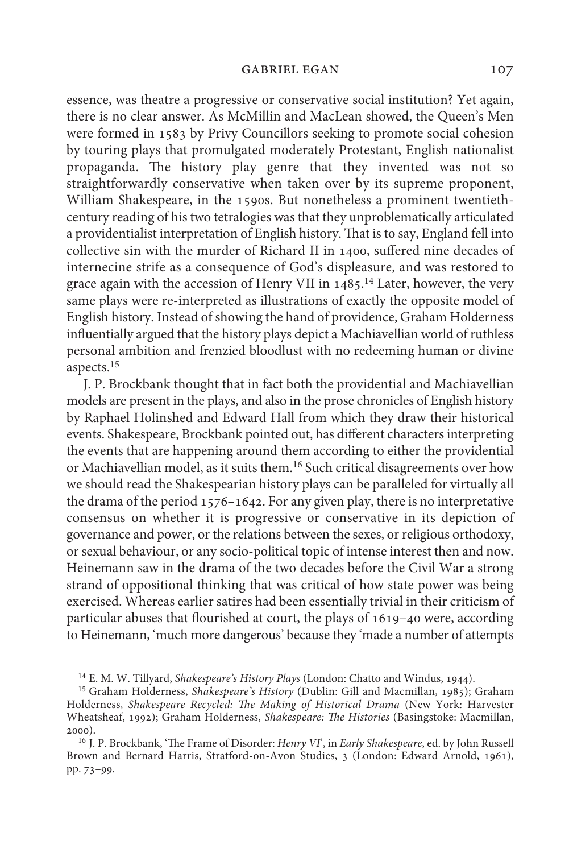essence, was theatre a progressive or conservative social institution? Yet again, there is no clear answer. As McMillin and MacLean showed, the Queen's Men were formed in 1583 by Privy Councillors seeking to promote social cohesion by touring plays that promulgated moderately Protestant, English nationalist propaganda. The history play genre that they invented was not so straightforwardly conservative when taken over by its supreme proponent, William Shakespeare, in the 1590s. But nonetheless a prominent twentiethcentury reading of his two tetralogies was that they unproblematically articulated a providentialist interpretation of English history. That is to say, England fell into collective sin with the murder of Richard II in 1400, suffered nine decades of internecine strife as a consequence of God's displeasure, and was restored to grace again with the accession of Henry VII in  $1485$ <sup>14</sup> Later, however, the very same plays were re-interpreted as illustrations of exactly the opposite model of English history. Instead of showing the hand of providence, Graham Holderness influentially argued that the history plays depict a Machiavellian world of ruthless personal ambition and frenzied bloodlust with no redeeming human or divine aspects.<sup>15</sup>

J. P. Brockbank thought that in fact both the providential and Machiavellian models are present in the plays, and also in the prose chronicles of English history by Raphael Holinshed and Edward Hall from which they draw their historical events. Shakespeare, Brockbank pointed out, has different characters interpreting the events that are happening around them according to either the providential or Machiavellian model, as it suits them.16 Such critical disagreements over how we should read the Shakespearian history plays can be paralleled for virtually all the drama of the period 1576–1642. For any given play, there is no interpretative consensus on whether it is progressive or conservative in its depiction of governance and power, or the relations between the sexes, or religious orthodoxy, or sexual behaviour, or any socio-political topic of intense interest then and now. Heinemann saw in the drama of the two decades before the Civil War a strong strand of oppositional thinking that was critical of how state power was being exercised. Whereas earlier satires had been essentially trivial in their criticism of particular abuses that flourished at court, the plays of 1619–40 were, according to Heinemann, 'much more dangerous' because they 'made a number of attempts

<sup>&</sup>lt;sup>14</sup> E. M. W. Tillyard, *Shakespeare's History Plays* (London: Chatto and Windus, 1944).

<sup>15</sup> Graham Holderness, *Shakespeare's History* (Dublin: Gill and Macmillan, 1985); Graham Holderness, *Shakespeare Recycled: The Making of Historical Drama* (New York: Harvester Wheatsheaf, 1992); Graham Holderness, *Shakespeare: The Histories* (Basingstoke: Macmillan, 2000).

J. P. Brockbank, 'The Frame of Disorder: *Henry VI*', in *Early Shakespeare*, ed. by John Russell <sup>16</sup> Brown and Bernard Harris, Stratford-on-Avon Studies, 3 (London: Edward Arnold, 1961), pp. 73–99.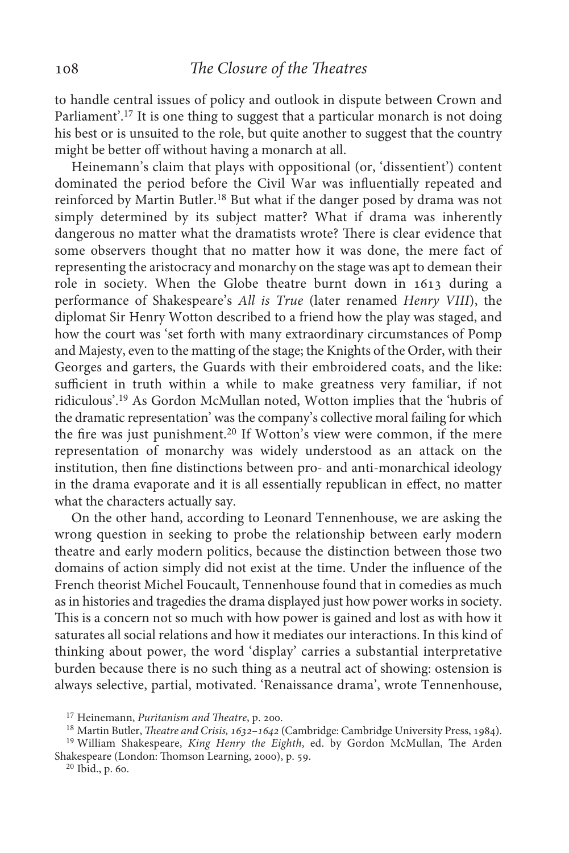to handle central issues of policy and outlook in dispute between Crown and Parliament'.<sup>17</sup> It is one thing to suggest that a particular monarch is not doing his best or is unsuited to the role, but quite another to suggest that the country might be better off without having a monarch at all.

Heinemann's claim that plays with oppositional (or, 'dissentient') content dominated the period before the Civil War was influentially repeated and reinforced by Martin Butler.18 But what if the danger posed by drama was not simply determined by its subject matter? What if drama was inherently dangerous no matter what the dramatists wrote? There is clear evidence that some observers thought that no matter how it was done, the mere fact of representing the aristocracy and monarchy on the stage was apt to demean their role in society. When the Globe theatre burnt down in 1613 during a performance of Shakespeare's *All is True* (later renamed *Henry VIII*), the diplomat Sir Henry Wotton described to a friend how the play was staged, and how the court was 'set forth with many extraordinary circumstances of Pomp and Majesty, even to the matting of the stage; the Knights of the Order, with their Georges and garters, the Guards with their embroidered coats, and the like: sufficient in truth within a while to make greatness very familiar, if not ridiculous'.19 As Gordon McMullan noted, Wotton implies that the 'hubris of the dramatic representation' was the company's collective moral failing for which the fire was just punishment.20 If Wotton's view were common, if the mere representation of monarchy was widely understood as an attack on the institution, then fine distinctions between pro- and anti-monarchical ideology in the drama evaporate and it is all essentially republican in effect, no matter what the characters actually say.

On the other hand, according to Leonard Tennenhouse, we are asking the wrong question in seeking to probe the relationship between early modern theatre and early modern politics, because the distinction between those two domains of action simply did not exist at the time. Under the influence of the French theorist Michel Foucault, Tennenhouse found that in comedies as much as in histories and tragedies the drama displayed just how power works in society. This is a concern not so much with how power is gained and lost as with how it saturates all social relations and how it mediates our interactions. In this kind of thinking about power, the word 'display' carries a substantial interpretative burden because there is no such thing as a neutral act of showing: ostension is always selective, partial, motivated. 'Renaissance drama', wrote Tennenhouse,

<sup>&</sup>lt;sup>17</sup> Heinemann, *Puritanism and Theatre*, p. 200.

<sup>&</sup>lt;sup>18</sup> Martin Butler, *Theatre and Crisis*, 1632-1642 (Cambridge: Cambridge University Press, 1984).

<sup>&</sup>lt;sup>19</sup> William Shakespeare, *King Henry the Eighth*, ed. by Gordon McMullan, The Arden Shakespeare (London: Thomson Learning, 2000), p. 59.

 $^{20}$  Ibid., p. 60.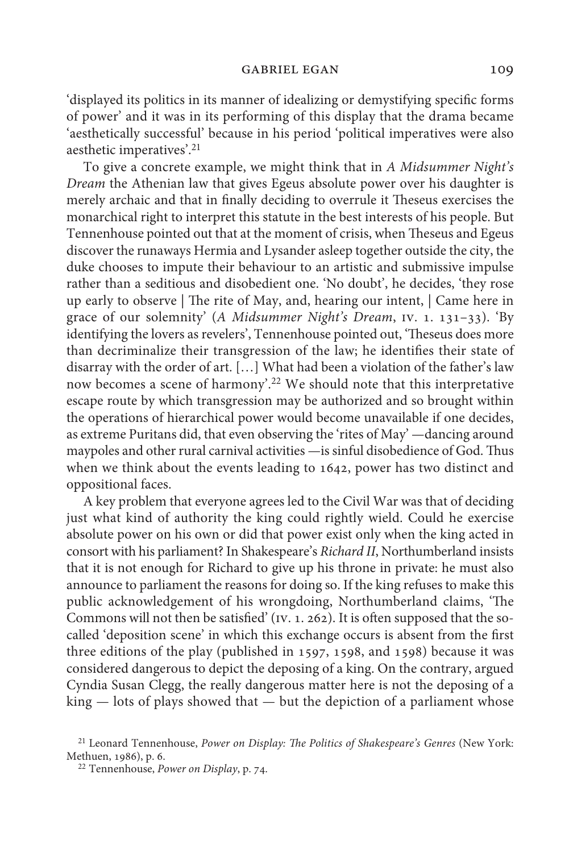'displayed its politics in its manner of idealizing or demystifying specific forms of power' and it was in its performing of this display that the drama became 'aesthetically successful' because in his period 'political imperatives were also aesthetic imperatives'.21

To give a concrete example, we might think that in *A Midsummer Night's Dream* the Athenian law that gives Egeus absolute power over his daughter is merely archaic and that in finally deciding to overrule it Theseus exercises the monarchical right to interpret this statute in the best interests of his people. But Tennenhouse pointed out that at the moment of crisis, when Theseus and Egeus discover the runaways Hermia and Lysander asleep together outside the city, the duke chooses to impute their behaviour to an artistic and submissive impulse rather than a seditious and disobedient one. 'No doubt', he decides, 'they rose up early to observe | The rite of May, and, hearing our intent, | Came here in grace of our solemnity' (*A Midsummer Night's Dream*, iv. 1. 131–33). 'By identifying the lovers as revelers', Tennenhouse pointed out, 'Theseus does more than decriminalize their transgression of the law; he identifies their state of disarray with the order of art. […] What had been a violation of the father's law now becomes a scene of harmony'.22 We should note that this interpretative escape route by which transgression may be authorized and so brought within the operations of hierarchical power would become unavailable if one decides, as extreme Puritans did, that even observing the 'rites of May' —dancing around maypoles and other rural carnival activities —is sinful disobedience of God. Thus when we think about the events leading to 1642, power has two distinct and oppositional faces.

A key problem that everyone agrees led to the Civil War was that of deciding just what kind of authority the king could rightly wield. Could he exercise absolute power on his own or did that power exist only when the king acted in consort with his parliament? In Shakespeare's *Richard II*, Northumberland insists that it is not enough for Richard to give up his throne in private: he must also announce to parliament the reasons for doing so. If the king refuses to make this public acknowledgement of his wrongdoing, Northumberland claims, 'The Commons will not then be satisfied' (iv. 1. 262). It is often supposed that the socalled 'deposition scene' in which this exchange occurs is absent from the first three editions of the play (published in 1597, 1598, and 1598) because it was considered dangerous to depict the deposing of a king. On the contrary, argued Cyndia Susan Clegg, the really dangerous matter here is not the deposing of a king — lots of plays showed that — but the depiction of a parliament whose

<sup>21</sup> Leonard Tennenhouse, *Power on Display: The Politics of Shakespeare's Genres* (New York: Methuen, 1986), p. 6.

<sup>&</sup>lt;sup>22</sup> Tennenhouse, *Power on Display*, p. 74.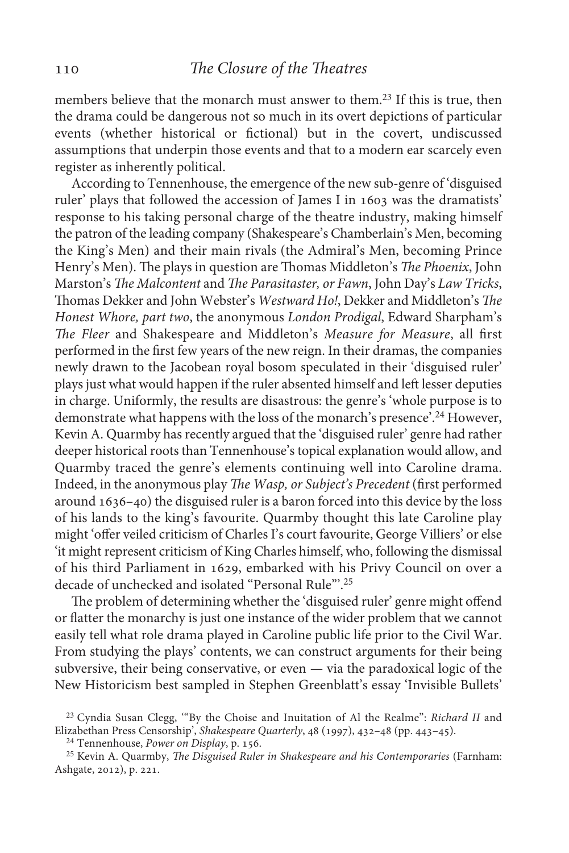members believe that the monarch must answer to them.23 If this is true, then the drama could be dangerous not so much in its overt depictions of particular events (whether historical or fictional) but in the covert, undiscussed assumptions that underpin those events and that to a modern ear scarcely even register as inherently political.

According to Tennenhouse, the emergence of the new sub-genre of 'disguised ruler' plays that followed the accession of James I in 1603 was the dramatists' response to his taking personal charge of the theatre industry, making himself the patron of the leading company (Shakespeare's Chamberlain's Men, becoming the King's Men) and their main rivals (the Admiral's Men, becoming Prince Henry's Men). The plays in question are Thomas Middleton's *The Phoenix*, John Marston's *The Malcontent* and *The Parasitaster, or Fawn*, John Day's *Law Tricks*, Thomas Dekker and John Webster's *Westward Ho!*, Dekker and Middleton's *The Honest Whore, part two*, the anonymous *London Prodigal*, Edward Sharpham's *The Fleer* and Shakespeare and Middleton's *Measure for Measure*, all first performed in the first few years of the new reign. In their dramas, the companies newly drawn to the Jacobean royal bosom speculated in their 'disguised ruler' plays just what would happen if the ruler absented himself and left lesser deputies in charge. Uniformly, the results are disastrous: the genre's 'whole purpose is to demonstrate what happens with the loss of the monarch's presence'.24 However, Kevin A. Quarmby has recently argued that the 'disguised ruler' genre had rather deeper historical roots than Tennenhouse's topical explanation would allow, and Quarmby traced the genre's elements continuing well into Caroline drama. Indeed, in the anonymous play *The Wasp, or Subject's Precedent* (first performed around 1636–40) the disguised ruler is a baron forced into this device by the loss of his lands to the king's favourite. Quarmby thought this late Caroline play might 'offer veiled criticism of Charles I's court favourite, George Villiers' or else 'it might represent criticism of King Charles himself, who, following the dismissal of his third Parliament in 1629, embarked with his Privy Council on over a decade of unchecked and isolated "Personal Rule"'.25

The problem of determining whether the 'disguised ruler' genre might offend or flatter the monarchy is just one instance of the wider problem that we cannot easily tell what role drama played in Caroline public life prior to the Civil War. From studying the plays' contents, we can construct arguments for their being subversive, their being conservative, or even — via the paradoxical logic of the New Historicism best sampled in Stephen Greenblatt's essay 'Invisible Bullets'

<sup>&</sup>lt;sup>23</sup> Cyndia Susan Clegg, "By the Choise and Inuitation of Al the Realme": *Richard II* and Elizabethan Press Censorship', *Shakespeare Quarterly*, 48 (1997), 432–48 (pp. 443–45).

<sup>&</sup>lt;sup>24</sup> Tennenhouse, *Power on Display*, p. 156.

<sup>&</sup>lt;sup>25</sup> Kevin A. Quarmby, *The Disguised Ruler in Shakespeare and his Contemporaries* (Farnham: Ashgate, 2012), p. 221.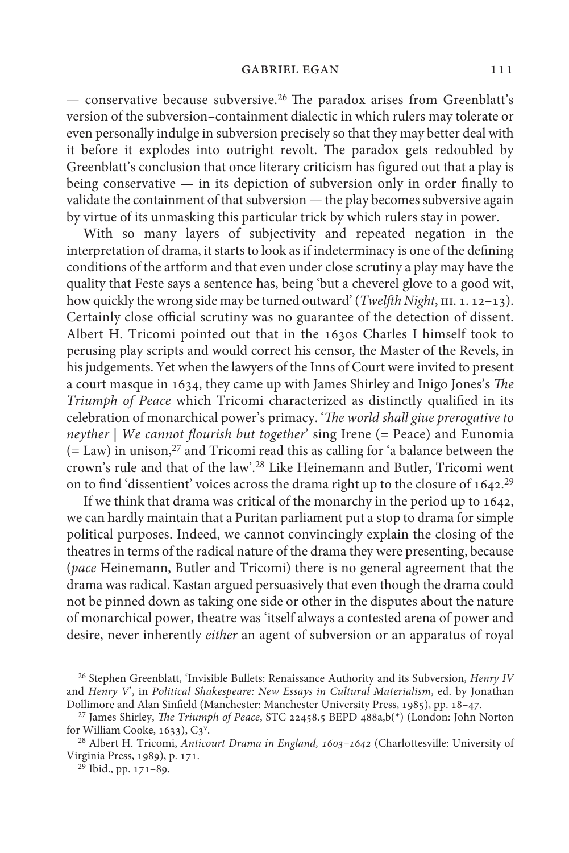— conservative because subversive.26 The paradox arises from Greenblatt's version of the subversion–containment dialectic in which rulers may tolerate or even personally indulge in subversion precisely so that they may better deal with it before it explodes into outright revolt. The paradox gets redoubled by Greenblatt's conclusion that once literary criticism has figured out that a play is being conservative — in its depiction of subversion only in order finally to validate the containment of that subversion — the play becomes subversive again by virtue of its unmasking this particular trick by which rulers stay in power.

With so many layers of subjectivity and repeated negation in the interpretation of drama, it starts to look as if indeterminacy is one of the defining conditions of the artform and that even under close scrutiny a play may have the quality that Feste says a sentence has, being 'but a cheverel glove to a good wit, how quickly the wrong side may be turned outward' (*Twelfth Night*, III. 1. 12–13). Certainly close official scrutiny was no guarantee of the detection of dissent. Albert H. Tricomi pointed out that in the 1630s Charles I himself took to perusing play scripts and would correct his censor, the Master of the Revels, in his judgements. Yet when the lawyers of the Inns of Court were invited to present a court masque in 1634, they came up with James Shirley and Inigo Jones's *The Triumph of Peace* which Tricomi characterized as distinctly qualified in its celebration of monarchical power's primacy. '*The world shall giue prerogative to neyther* | *We cannot flourish but together*' sing Irene (= Peace) and Eunomia  $(= Law)$  in unison,<sup>27</sup> and Tricomi read this as calling for 'a balance between the crown's rule and that of the law'.28 Like Heinemann and Butler, Tricomi went on to find 'dissentient' voices across the drama right up to the closure of 1642.<sup>29</sup>

If we think that drama was critical of the monarchy in the period up to 1642, we can hardly maintain that a Puritan parliament put a stop to drama for simple political purposes. Indeed, we cannot convincingly explain the closing of the theatres in terms of the radical nature of the drama they were presenting, because (*pace* Heinemann, Butler and Tricomi) there is no general agreement that the drama was radical. Kastan argued persuasively that even though the drama could not be pinned down as taking one side or other in the disputes about the nature of monarchical power, theatre was 'itself always a contested arena of power and desire, never inherently *either* an agent of subversion or an apparatus of royal

<sup>26</sup> Stephen Greenblatt, 'Invisible Bullets: Renaissance Authority and its Subversion, *Henry IV* and *Henry V*', in *Political Shakespeare: New Essays in Cultural Materialism*, ed. by Jonathan Dollimore and Alan Sinfield (Manchester: Manchester University Press, 1985), pp. 18–47.

<sup>&</sup>lt;sup>27</sup> James Shirley, *The Triumph of Peace*, STC 22458.5 BEPD 488a,b(\*) (London: John Norton for William Cooke,  $1633$ ),  $C3^y$ .

<sup>&</sup>lt;sup>28</sup> Albert H. Tricomi, *Anticourt Drama in England*, 1603-1642 (Charlottesville: University of Virginia Press, 1989), p. 171.

 $^{29}$  Ibid., pp. 171–89.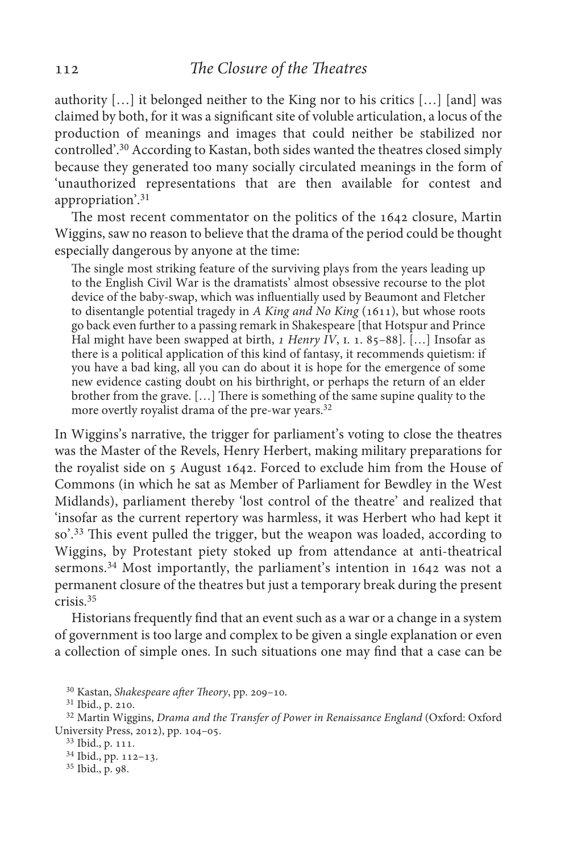authority […] it belonged neither to the King nor to his critics […] [and] was claimed by both, for it was a significant site of voluble articulation, a locus of the production of meanings and images that could neither be stabilized nor controlled'.30 According to Kastan, both sides wanted the theatres closed simply because they generated too many socially circulated meanings in the form of 'unauthorized representations that are then available for contest and appropriation'.31

The most recent commentator on the politics of the 1642 closure, Martin Wiggins, saw no reason to believe that the drama of the period could be thought especially dangerous by anyone at the time:

The single most striking feature of the surviving plays from the years leading up to the English Civil War is the dramatists' almost obsessive recourse to the plot device of the baby-swap, which was influentially used by Beaumont and Fletcher to disentangle potential tragedy in *A King and No King* (1611), but whose roots go back even further to a passing remark in Shakespeare [that Hotspur and Prince Hal might have been swapped at birth, *1 Henry IV*, *i.* 1. 85–88]. [...] Insofar as there is a political application of this kind of fantasy, it recommends quietism: if you have a bad king, all you can do about it is hope for the emergence of some new evidence casting doubt on his birthright, or perhaps the return of an elder brother from the grave. […] There is something of the same supine quality to the more overtly royalist drama of the pre-war years.<sup>32</sup>

In Wiggins's narrative, the trigger for parliament's voting to close the theatres was the Master of the Revels, Henry Herbert, making military preparations for the royalist side on 5 August 1642. Forced to exclude him from the House of Commons (in which he sat as Member of Parliament for Bewdley in the West Midlands), parliament thereby 'lost control of the theatre' and realized that 'insofar as the current repertory was harmless, it was Herbert who had kept it so'.33 This event pulled the trigger, but the weapon was loaded, according to Wiggins, by Protestant piety stoked up from attendance at anti-theatrical sermons.<sup>34</sup> Most importantly, the parliament's intention in 1642 was not a permanent closure of the theatres but just a temporary break during the present crisis.35

Historians frequently find that an event such as a war or a change in a system of government is too large and complex to be given a single explanation or even a collection of simple ones. In such situations one may find that a case can be

<sup>30</sup> Kastan, *Shakespeare after Theory*, pp. 209-10.

<sup>&</sup>lt;sup>31</sup> Ibid., p. 210.

<sup>&</sup>lt;sup>32</sup> Martin Wiggins, *Drama and the Transfer of Power in Renaissance England* (Oxford: Oxford University Press, 2012), pp. 104–05.

<sup>33</sup> Ibid., p. 111.

<sup>&</sup>lt;sup>34</sup> Ibid., pp. 112-13.

<sup>&</sup>lt;sup>35</sup> Ibid., p. 98.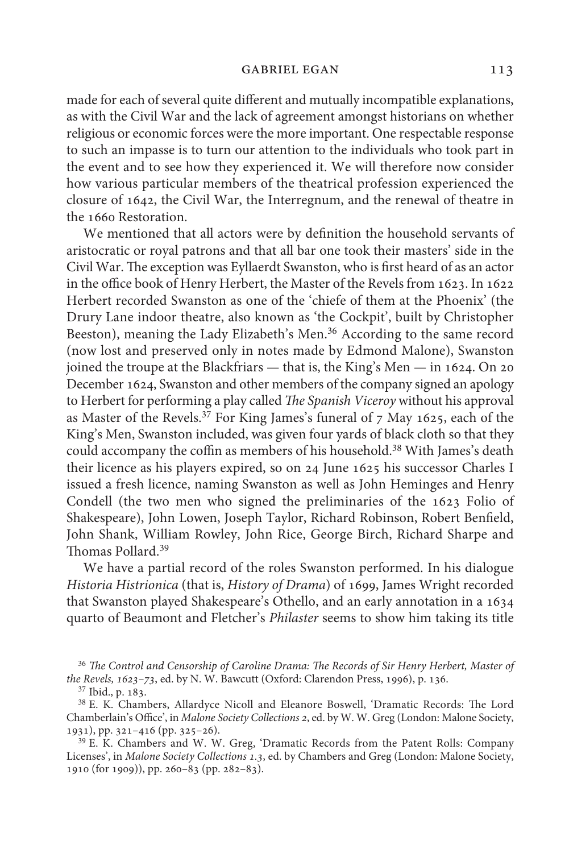made for each of several quite different and mutually incompatible explanations, as with the Civil War and the lack of agreement amongst historians on whether religious or economic forces were the more important. One respectable response to such an impasse is to turn our attention to the individuals who took part in the event and to see how they experienced it. We will therefore now consider how various particular members of the theatrical profession experienced the closure of 1642, the Civil War, the Interregnum, and the renewal of theatre in the 1660 Restoration.

We mentioned that all actors were by definition the household servants of aristocratic or royal patrons and that all bar one took their masters' side in the Civil War. The exception was Eyllaerdt Swanston, who is first heard of as an actor in the office book of Henry Herbert, the Master of the Revels from 1623. In 1622 Herbert recorded Swanston as one of the 'chiefe of them at the Phoenix' (the Drury Lane indoor theatre, also known as 'the Cockpit', built by Christopher Beeston), meaning the Lady Elizabeth's Men.<sup>36</sup> According to the same record (now lost and preserved only in notes made by Edmond Malone), Swanston joined the troupe at the Blackfriars — that is, the King's Men — in 1624. On 20 December 1624, Swanston and other members of the company signed an apology to Herbert for performing a play called *The Spanish Viceroy* without his approval as Master of the Revels.<sup>37</sup> For King James's funeral of  $7$  May 1625, each of the King's Men, Swanston included, was given four yards of black cloth so that they could accompany the coffin as members of his household.38 With James's death their licence as his players expired, so on 24 June 1625 his successor Charles I issued a fresh licence, naming Swanston as well as John Heminges and Henry Condell (the two men who signed the preliminaries of the 1623 Folio of Shakespeare), John Lowen, Joseph Taylor, Richard Robinson, Robert Benfield, John Shank, William Rowley, John Rice, George Birch, Richard Sharpe and Thomas Pollard.39

We have a partial record of the roles Swanston performed. In his dialogue *Historia Histrionica* (that is, *History of Drama*) of 1699, James Wright recorded that Swanston played Shakespeare's Othello, and an early annotation in a 1634 quarto of Beaumont and Fletcher's *Philaster* seems to show him taking its title

<sup>36</sup> The Control and Censorship of Caroline Drama: The Records of Sir Henry Herbert, Master of *the Revels, 1623–73*, ed. by N. W. Bawcutt (Oxford: Clarendon Press, 1996), p. 136. <sup>37</sup> Ibid., p. 183.

<sup>38</sup> E. K. Chambers, Allardyce Nicoll and Eleanore Boswell, 'Dramatic Records: The Lord Chamberlain's Office', in *Malone Society Collections 2*, ed. by W. W. Greg (London: Malone Society, 1931), pp. 321–416 (pp. 325–26).

<sup>39</sup> E. K. Chambers and W. W. Greg, 'Dramatic Records from the Patent Rolls: Company Licenses', in *Malone Society Collections 1.3*, ed. by Chambers and Greg (London: Malone Society, 1910 (for 1909)), pp. 260–83 (pp. 282–83).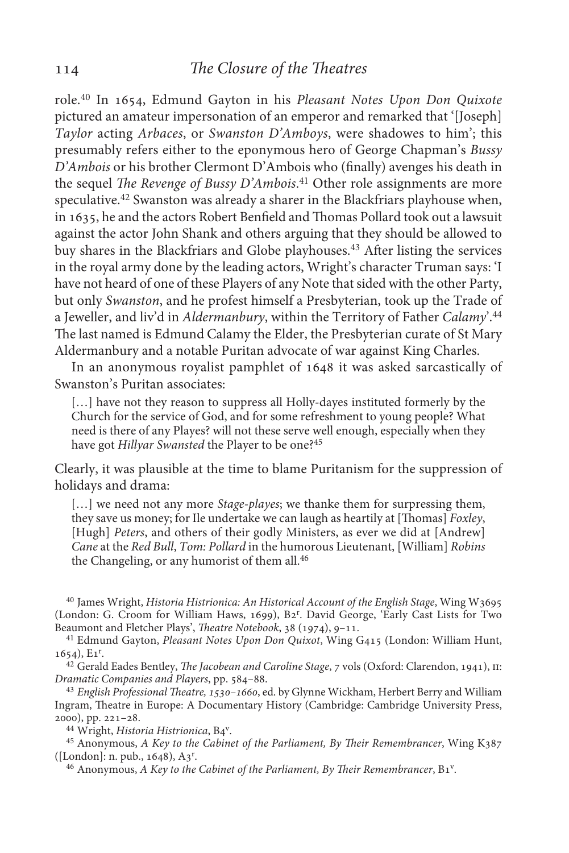role.40 In 1654, Edmund Gayton in his *Pleasant Notes Upon Don Quixote* pictured an amateur impersonation of an emperor and remarked that '[Joseph] *Taylor* acting *Arbaces*, or *Swanston D'Amboys*, were shadowes to him'; this presumably refers either to the eponymous hero of George Chapman's *Bussy D'Ambois* or his brother Clermont D'Ambois who (finally) avenges his death in the sequel *The Revenge of Bussy D'Ambois*. <sup>41</sup> Other role assignments are more speculative.42 Swanston was already a sharer in the Blackfriars playhouse when, in 1635, he and the actors Robert Benfield and Thomas Pollard took out a lawsuit against the actor John Shank and others arguing that they should be allowed to buy shares in the Blackfriars and Globe playhouses.43 After listing the services in the royal army done by the leading actors, Wright's character Truman says: 'I have not heard of one of these Players of any Note that sided with the other Party, but only *Swanston*, and he profest himself a Presbyterian, took up the Trade of a Jeweller, and liv'd in *Aldermanbury*, within the Territory of Father *Calamy*'.44 The last named is Edmund Calamy the Elder, the Presbyterian curate of St Mary Aldermanbury and a notable Puritan advocate of war against King Charles.

In an anonymous royalist pamphlet of 1648 it was asked sarcastically of Swanston's Puritan associates:

[...] have not they reason to suppress all Holly-dayes instituted formerly by the Church for the service of God, and for some refreshment to young people? What need is there of any Playes? will not these serve well enough, especially when they have got *Hillyar Swansted* the Player to be one?45

Clearly, it was plausible at the time to blame Puritanism for the suppression of holidays and drama:

[...] we need not any more *Stage-playes*; we thanke them for surpressing them, they save us money; for Ile undertake we can laugh as heartily at [Thomas] *Foxley*, [Hugh] *Peters*, and others of their godly Ministers, as ever we did at [Andrew] *Cane* at the *Red Bull*, *Tom: Pollard* in the humorous Lieutenant, [William] *Robins* the Changeling, or any humorist of them all.46

<sup>40</sup> James Wright, *Historia Histrionica: An Historical Account of the English Stage*, Wing W3695 (London: G. Croom for William Haws, 1699), B2<sup>r</sup>. David George, 'Early Cast Lists for Two Beaumont and Fletcher Plays', *Theatre Notebook*, 38 (1974), 9–11.

<sup>41</sup> Edmund Gayton, *Pleasant Notes Upon Don Quixot*, Wing G415 (London: William Hunt, 1654), E1r .

<sup>42</sup> Gerald Eades Bentley, *The Jacobean and Caroline Stage*, 7 vols (Oxford: Clarendon, 1941), II: *Dramatic Companies and Players*, pp. 584–88.

<sup>43</sup> *English Professional Theatre, 1530–1660*, ed. by Glynne Wickham, Herbert Berry and William Ingram, Theatre in Europe: A Documentary History (Cambridge: Cambridge University Press, 2000), pp. 221–28.

<sup>44</sup> Wright, *Historia Histrionica*, B<sub>4</sub><sup>v</sup>.

<sup>45</sup> Anonymous, *A Key to the Cabinet of the Parliament*, *By Their Remembrancer*, Wing K387 ([London]: n. pub., 1648), A3r .

<sup>46</sup> Anonymous, *A Key to the Cabinet of the Parliament*, *By Their Remembrancer*, B1<sup>v</sup>.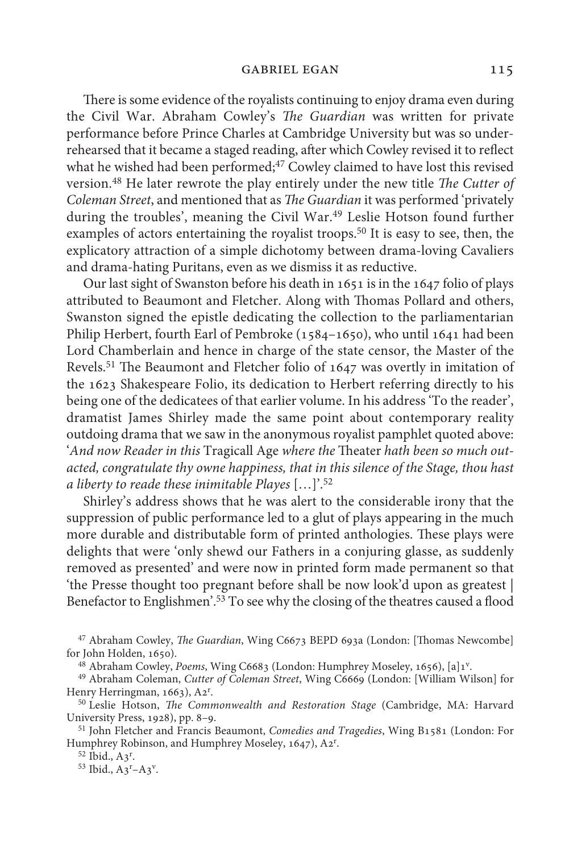There is some evidence of the royalists continuing to enjoy drama even during the Civil War. Abraham Cowley's *The Guardian* was written for private performance before Prince Charles at Cambridge University but was so underrehearsed that it became a staged reading, after which Cowley revised it to reflect what he wished had been performed;<sup>47</sup> Cowley claimed to have lost this revised version.48 He later rewrote the play entirely under the new title *The Cutter of Coleman Street*, and mentioned that as *The Guardian* it was performed 'privately during the troubles', meaning the Civil War.<sup>49</sup> Leslie Hotson found further examples of actors entertaining the royalist troops.<sup>50</sup> It is easy to see, then, the explicatory attraction of a simple dichotomy between drama-loving Cavaliers and drama-hating Puritans, even as we dismiss it as reductive.

Our last sight of Swanston before his death in 1651 is in the 1647 folio of plays attributed to Beaumont and Fletcher. Along with Thomas Pollard and others, Swanston signed the epistle dedicating the collection to the parliamentarian Philip Herbert, fourth Earl of Pembroke (1584–1650), who until 1641 had been Lord Chamberlain and hence in charge of the state censor, the Master of the Revels.51 The Beaumont and Fletcher folio of 1647 was overtly in imitation of the 1623 Shakespeare Folio, its dedication to Herbert referring directly to his being one of the dedicatees of that earlier volume. In his address 'To the reader', dramatist James Shirley made the same point about contemporary reality outdoing drama that we saw in the anonymous royalist pamphlet quoted above: '*And now Reader in this* Tragicall Age *where the* Theater *hath been so much outacted, congratulate thy owne happiness, that in this silence of the Stage, thou hast a liberty to reade these inimitable Playes* […]'.52

Shirley's address shows that he was alert to the considerable irony that the suppression of public performance led to a glut of plays appearing in the much more durable and distributable form of printed anthologies. These plays were delights that were 'only shewd our Fathers in a conjuring glasse, as suddenly removed as presented' and were now in printed form made permanent so that 'the Presse thought too pregnant before shall be now look'd upon as greatest | Benefactor to Englishmen'.53 To see why the closing of the theatres caused a flood

<sup>47</sup> Abraham Cowley, *The Guardian*, Wing C6673 BEPD 693a (London: [Thomas Newcombe] for John Holden, 1650).

<sup>48</sup> Abraham Cowley, *Poems*, Wing C6683 (London: Humphrey Moseley, 1656), [a]1<sup>v</sup>.

<sup>49</sup> Abraham Coleman, *Cutter of Coleman Street*, Wing C6669 (London: [William Wilson] for Henry Herringman, 1663), A2<sup>r</sup>.

<sup>50</sup> Leslie Hotson, *The Commonwealth and Restoration Stage* (Cambridge, MA: Harvard University Press, 1928), pp. 8–9.

<sup>51</sup> John Fletcher and Francis Beaumont, *Comedies and Tragedies*, Wing B1581 (London: For Humphrey Robinson, and Humphrey Moseley, 1647), A2<sup>r</sup>.

<sup>52</sup> Ibid., A3<sup>r</sup>.

 $^{53}$  Ibid.,  $A3^{r}-A3^{v}$ .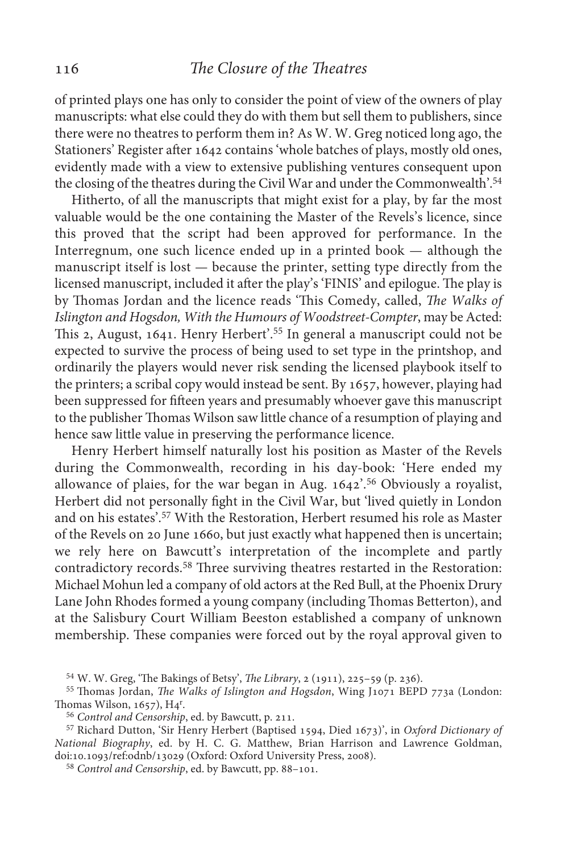of printed plays one has only to consider the point of view of the owners of play manuscripts: what else could they do with them but sell them to publishers, since there were no theatres to perform them in? As W. W. Greg noticed long ago, the Stationers' Register after 1642 contains 'whole batches of plays, mostly old ones, evidently made with a view to extensive publishing ventures consequent upon the closing of the theatres during the Civil War and under the Commonwealth'.<sup>54</sup>

Hitherto, of all the manuscripts that might exist for a play, by far the most valuable would be the one containing the Master of the Revels's licence, since this proved that the script had been approved for performance. In the Interregnum, one such licence ended up in a printed book — although the manuscript itself is lost — because the printer, setting type directly from the licensed manuscript, included it after the play's 'FINIS' and epilogue. The play is by Thomas Jordan and the licence reads 'This Comedy, called, *The Walks of Islington and Hogsdon, With the Humours of Woodstreet-Compter*, may be Acted: This 2, August, 1641. Henry Herbert'.55 In general a manuscript could not be expected to survive the process of being used to set type in the printshop, and ordinarily the players would never risk sending the licensed playbook itself to the printers; a scribal copy would instead be sent. By 1657, however, playing had been suppressed for fifteen years and presumably whoever gave this manuscript to the publisher Thomas Wilson saw little chance of a resumption of playing and hence saw little value in preserving the performance licence.

Henry Herbert himself naturally lost his position as Master of the Revels during the Commonwealth, recording in his day-book: 'Here ended my allowance of plaies, for the war began in Aug. 1642'.56 Obviously a royalist, Herbert did not personally fight in the Civil War, but 'lived quietly in London and on his estates'.57 With the Restoration, Herbert resumed his role as Master of the Revels on 20 June 1660, but just exactly what happened then is uncertain; we rely here on Bawcutt's interpretation of the incomplete and partly contradictory records.58 Three surviving theatres restarted in the Restoration: Michael Mohun led a company of old actors at the Red Bull, at the Phoenix Drury Lane John Rhodes formed a young company (including Thomas Betterton), and at the Salisbury Court William Beeston established a company of unknown membership. These companies were forced out by the royal approval given to

W. W. Greg, 'The Bakings of Betsy', *The Library*, 2 (1911), 225–59 (p. 236). <sup>54</sup>

<sup>55</sup> Thomas Jordan, *The Walks of Islington and Hogsdon*, Wing J1071 BEPD 773a (London: Thomas Wilson, 1657), H4r .

<sup>56</sup> Control and Censorship, ed. by Bawcutt, p. 211.

<sup>57</sup> Richard Dutton, 'Sir Henry Herbert (Baptised 1594, Died 1673)', in *Oxford Dictionary of National Biography*, ed. by H. C. G. Matthew, Brian Harrison and Lawrence Goldman, doi:10.1093/ref:odnb/13029 (Oxford: Oxford University Press, 2008).

<sup>58</sup> Control and Censorship, ed. by Bawcutt, pp. 88-101.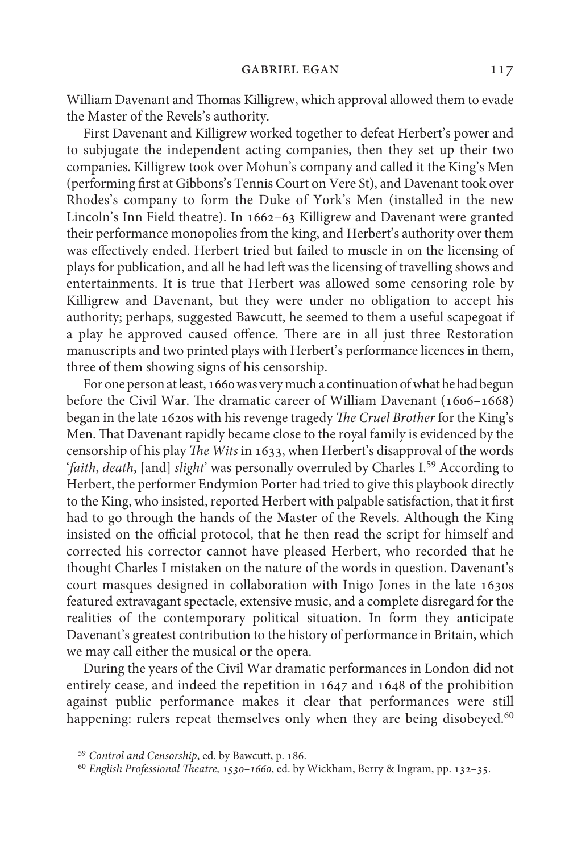William Davenant and Thomas Killigrew, which approval allowed them to evade the Master of the Revels's authority.

First Davenant and Killigrew worked together to defeat Herbert's power and to subjugate the independent acting companies, then they set up their two companies. Killigrew took over Mohun's company and called it the King's Men (performing first at Gibbons's Tennis Court on Vere St), and Davenant took over Rhodes's company to form the Duke of York's Men (installed in the new Lincoln's Inn Field theatre). In 1662–63 Killigrew and Davenant were granted their performance monopolies from the king, and Herbert's authority over them was effectively ended. Herbert tried but failed to muscle in on the licensing of plays for publication, and all he had left was the licensing of travelling shows and entertainments. It is true that Herbert was allowed some censoring role by Killigrew and Davenant, but they were under no obligation to accept his authority; perhaps, suggested Bawcutt, he seemed to them a useful scapegoat if a play he approved caused offence. There are in all just three Restoration manuscripts and two printed plays with Herbert's performance licences in them, three of them showing signs of his censorship.

For one person at least, 1660 was very much a continuation of what he had begun before the Civil War. The dramatic career of William Davenant (1606–1668) began in the late 1620s with his revenge tragedy *The Cruel Brother* for the King's Men. That Davenant rapidly became close to the royal family is evidenced by the censorship of his play *The Wits* in 1633, when Herbert's disapproval of the words '*faith*, *death*, [and] *slight*' was personally overruled by Charles I.59 According to Herbert, the performer Endymion Porter had tried to give this playbook directly to the King, who insisted, reported Herbert with palpable satisfaction, that it first had to go through the hands of the Master of the Revels. Although the King insisted on the official protocol, that he then read the script for himself and corrected his corrector cannot have pleased Herbert, who recorded that he thought Charles I mistaken on the nature of the words in question. Davenant's court masques designed in collaboration with Inigo Jones in the late 1630s featured extravagant spectacle, extensive music, and a complete disregard for the realities of the contemporary political situation. In form they anticipate Davenant's greatest contribution to the history of performance in Britain, which we may call either the musical or the opera.

During the years of the Civil War dramatic performances in London did not entirely cease, and indeed the repetition in 1647 and 1648 of the prohibition against public performance makes it clear that performances were still happening: rulers repeat themselves only when they are being disobeyed.<sup>60</sup>

<sup>&</sup>lt;sup>59</sup> Control and Censorship, ed. by Bawcutt, p. 186.

*English Professional Theatre, 1530–1660*, ed. by Wickham, Berry & Ingram, pp. 132–35. <sup>60</sup>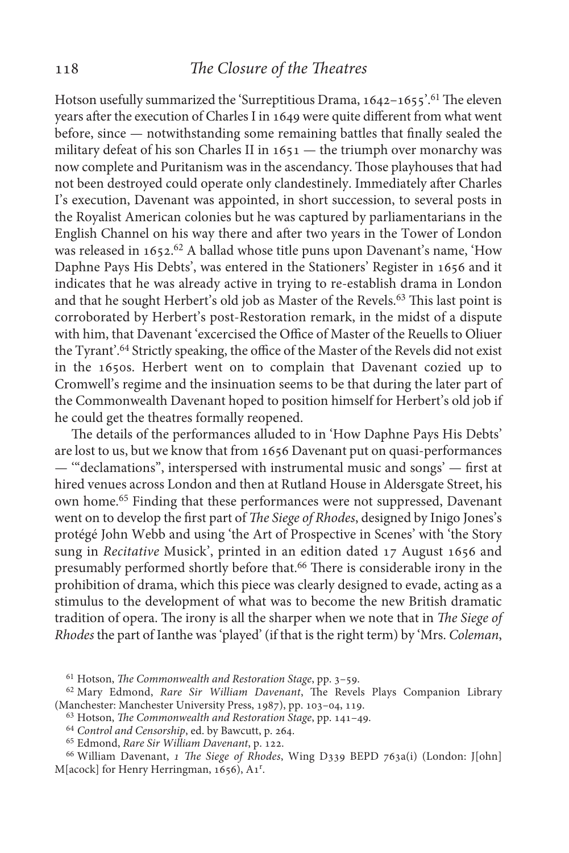Hotson usefully summarized the 'Surreptitious Drama, 1642-1655'.<sup>61</sup> The eleven years after the execution of Charles I in 1649 were quite different from what went before, since — notwithstanding some remaining battles that finally sealed the military defeat of his son Charles II in 1651 — the triumph over monarchy was now complete and Puritanism was in the ascendancy. Those playhouses that had not been destroyed could operate only clandestinely. Immediately after Charles I's execution, Davenant was appointed, in short succession, to several posts in the Royalist American colonies but he was captured by parliamentarians in the English Channel on his way there and after two years in the Tower of London was released in 1652.<sup>62</sup> A ballad whose title puns upon Davenant's name, 'How Daphne Pays His Debts', was entered in the Stationers' Register in 1656 and it indicates that he was already active in trying to re-establish drama in London and that he sought Herbert's old job as Master of the Revels.63 This last point is corroborated by Herbert's post-Restoration remark, in the midst of a dispute with him, that Davenant 'excercised the Office of Master of the Reuells to Oliuer the Tyrant'.64 Strictly speaking, the office of the Master of the Revels did not exist in the 1650s. Herbert went on to complain that Davenant cozied up to Cromwell's regime and the insinuation seems to be that during the later part of the Commonwealth Davenant hoped to position himself for Herbert's old job if he could get the theatres formally reopened.

The details of the performances alluded to in 'How Daphne Pays His Debts' are lost to us, but we know that from 1656 Davenant put on quasi-performances — '"declamations", interspersed with instrumental music and songs' — first at hired venues across London and then at Rutland House in Aldersgate Street, his own home.65 Finding that these performances were not suppressed, Davenant went on to develop the first part of *The Siege of Rhodes*, designed by Inigo Jones's protégé John Webb and using 'the Art of Prospective in Scenes' with 'the Story sung in *Recitative* Musick', printed in an edition dated 17 August 1656 and presumably performed shortly before that.66 There is considerable irony in the prohibition of drama, which this piece was clearly designed to evade, acting as a stimulus to the development of what was to become the new British dramatic tradition of opera. The irony is all the sharper when we note that in *The Siege of Rhodes* the part of Ianthe was 'played' (if that is the right term) by 'Mrs. *Coleman*,

<sup>&</sup>lt;sup>61</sup> Hotson, *The Commonwealth and Restoration Stage*, pp. 3-59.

<sup>&</sup>lt;sup>62</sup> Mary Edmond, *Rare Sir William Davenant*, The Revels Plays Companion Library (Manchester: Manchester University Press, 1987), pp. 103–04, 119.

<sup>&</sup>lt;sup>63</sup> Hotson, *The Commonwealth and Restoration Stage*, pp. 141–49.

<sup>&</sup>lt;sup>64</sup> Control and Censorship, ed. by Bawcutt, p. 264.

<sup>&</sup>lt;sup>65</sup> Edmond, *Rare Sir William Davenant*, p. 122.

<sup>&</sup>lt;sup>66</sup> William Davenant, *1 The Siege of Rhodes*, Wing D339 BEPD 763a(i) (London: J[ohn] M[acock] for Henry Herringman, 1656), A1<sup>r</sup>.